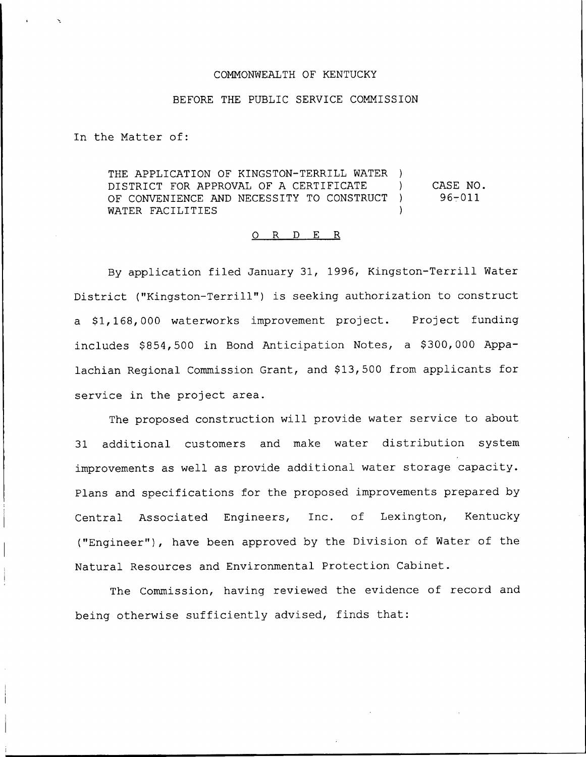## CONNONWEALTH OF KENTUCKY

## BEFORE THE PUBLIC SERVICE COMMISSION

In the Natter of:

THE APPLICATION OF KINGSTON-TERRILL WATER ) DISTRICT FOR APPROVAL OF A CERTIFICATE (1)<br>OF CONVENIENCE AND NECESSITY TO CONSTRUCT (1) OF CONVENIENCE AND NECESSITY TO CONSTRUCT WATER FACILITIES CASE NO.  $96 - 011$ 

## 0 R <sup>D</sup> E R

By application filed January 31, 1996, Kingston-Terrill Water District ("Kingston-Terrill") is seeking authorization to construct a \$1,168,000 waterworks improvement project. Project funding includes \$854,500 in Bond Anticipation Notes, a \$300,000 Appalachian Regional Commission Grant, and \$13,500 from applicants for service in the project area.

The proposed construction will provide water service to about 31 additional customers and make water distribution system improvements as well as provide additional water storage capacity. Plans and specifications for the proposed improvements prepared by Central Associated Engineers, Inc. of Lexington, Kentucky ("Engineer"), have been approved by the Division of Water of the Natural Resources and Environmental Protection Cabinet.

The Commission, having reviewed the evidence of record and being otherwise sufficiently advised, finds that: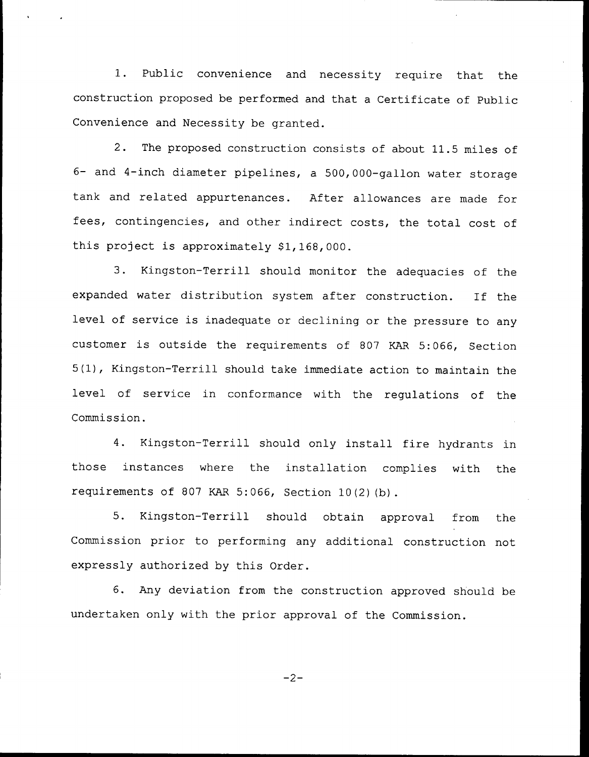1. Public convenience and necessity require that the construction proposed be performed and that a Certificate of Public Convenience and Necessity be granted.

2. The proposed construction consists of about 11.5 miles of 6- and 4-inch diameter pipelines, <sup>a</sup> 500,000-gallon water storage tank and related appurtenances. After allowances are made for fees, contingencies, and other indirect costs, the total cost of this project is approximately  $$1,168,000$ .

3. Kingston-Terrill should monitor the adequacies of the expanded water distribution system after construction. If the level of service is inadequate or declining or the pressure to any customer is outside the requirements of <sup>807</sup> KAR 5:066, Section 5(1), Kingston-Terrill should take immediate action to maintain the level of service in conformance with the regulations of the Commission.

4. Kingston-Terrill should only install fire hydrants in those instances where the installation complies with the requirements of 807 KAR 5:066, Section 10(2)(b).

5. Kingston-Terrill should obtain approval from the Commission prior to performing any additional construction not expressly authorized by this Order.

6. Any deviation from the construction approved should be undertaken only with the prior approval of the Commission.

$$
-2-
$$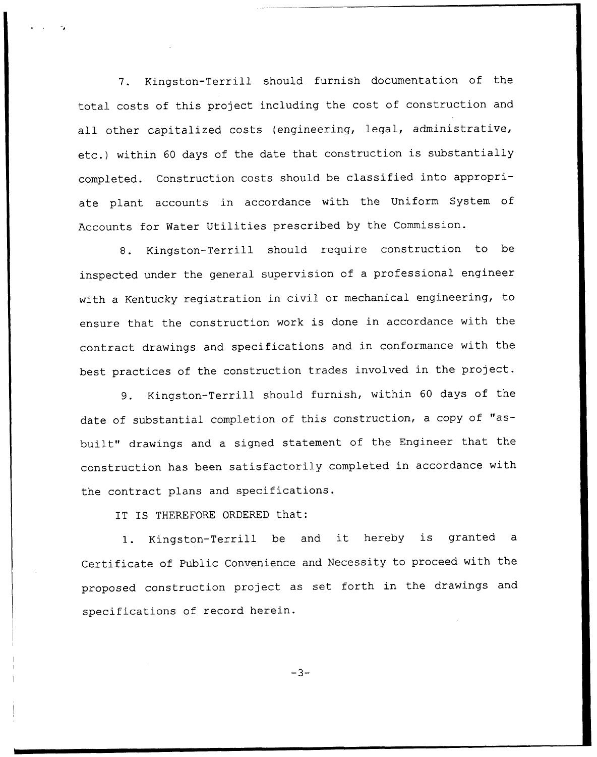7. Kingston-Terrill should furnish documentation of the total costs of this project including the cost of construction and all other capitalized costs (engineering, legal, administrative, etc.) within <sup>60</sup> days of the date that construction is substantially completed. Construction costs should be classified into appropriate plant accounts in accordance with the Uniform System of Accounts for Water Utilities prescribed by the Commission.

8. Kingston-Terrill should require construction to be inspected under the general supervision of a professional engineer with a Kentucky registration in civil or mechanical engineering, to ensure that the construction work is done in accordance with the contract drawings and specifications and in conformance with the best practices of the construction trades involved in the project.

9. Kingston-Terrill should furnish, within <sup>60</sup> days of the date of substantial completion of this construction, <sup>a</sup> copy of "asbuilt" drawings and a signed statement of the Engineer that the construction has been satisfactorily completed in accordance with the contract plans and specifications.

IT IS THEREFORE ORDERED that:

1. Kingston-Terrill be and it hereby is granted <sup>a</sup> Certificate of Public Convenience and Necessity to proceed with the proposed construction project as set forth in the drawings and specifications of record herein.

 $-3-$